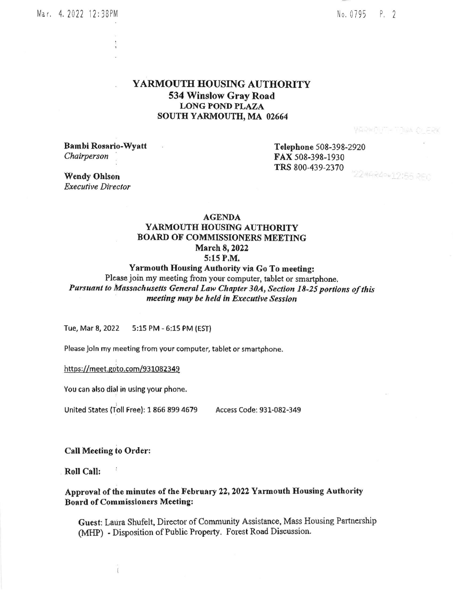No.0795 P. <sup>2</sup>

## YARMOUTH HOUSING AUTHORITY 534 Winslow Gray Road LONG POND PLAZA SOUTH YARMOUTH, MA 02664

VARWAIT-TAWA C FRY

Bambi Rosario-Wyatt Chairperson

Telephone 508-398-2920 FAX s08-398-1930 TRS 800-439-2370 2244840+12:55 REC

Wendy Ohlson **Executive Director** 

# **AGENDA** YARMOUTH HOUSING AUTHORITY BOARD OF COMMISSIONERS MEETING March 8,2022 5:15 P.M.

### Yarmouth Housing Authority via Go To meeting:

Please join my meeting from your computer, tablet or smartphone, Pursuant to Massachusetts General Law Chapter 30A, Section 18-25 portions of this meeting may be held in Executive Session

Tue, Mar 8, 2022 5:15 PM - 6;15 PM (EST)

Please Joln my meeting from your computer, tablet or smartphone.

https://meet.goto.com/931082349

You can also dial in uslng your phone.

United States (Toll Free): 1 866 899 4679 Access Code: 931-082-349

#### Call Meeting to Order:

Roll Call:

#### Approval of the minutes of the February 22, 2022 Yarmouth Housing Authority Board of Commissioners Meetlng;

Guest: Laura Shufelt, Director of Community Assistance, Mass Housing Partnership (MHP) - Disposition of Public Property. Forest Road Discussion.